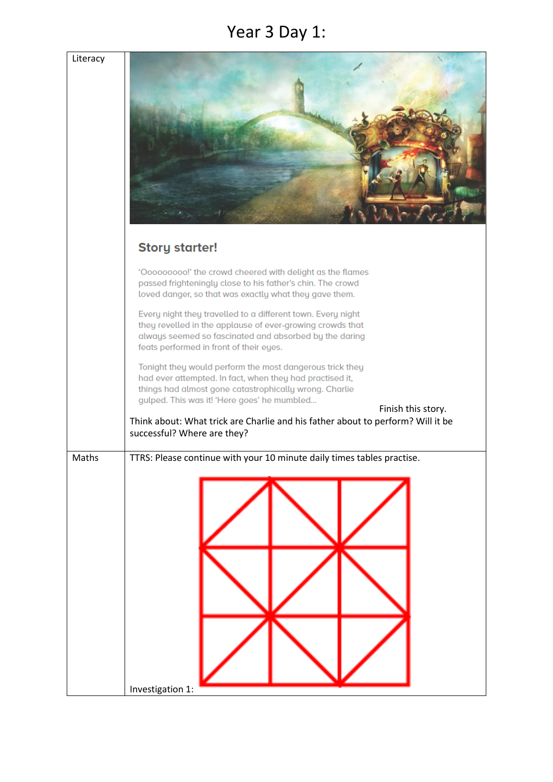#### Year 3 Day 1:

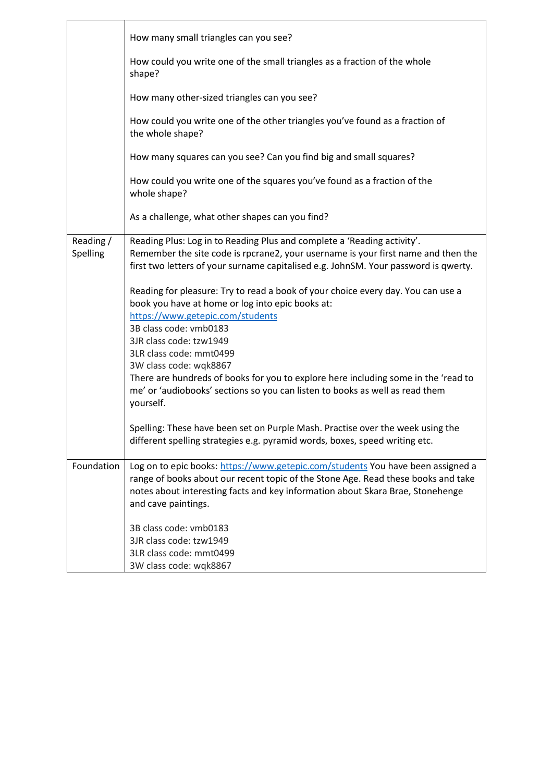|                       | How many small triangles can you see?                                                                                                                                                                                                               |
|-----------------------|-----------------------------------------------------------------------------------------------------------------------------------------------------------------------------------------------------------------------------------------------------|
|                       | How could you write one of the small triangles as a fraction of the whole<br>shape?                                                                                                                                                                 |
|                       | How many other-sized triangles can you see?                                                                                                                                                                                                         |
|                       | How could you write one of the other triangles you've found as a fraction of<br>the whole shape?                                                                                                                                                    |
|                       | How many squares can you see? Can you find big and small squares?                                                                                                                                                                                   |
|                       | How could you write one of the squares you've found as a fraction of the<br>whole shape?                                                                                                                                                            |
|                       | As a challenge, what other shapes can you find?                                                                                                                                                                                                     |
| Reading /<br>Spelling | Reading Plus: Log in to Reading Plus and complete a 'Reading activity'.<br>Remember the site code is rpcrane2, your username is your first name and then the<br>first two letters of your surname capitalised e.g. JohnSM. Your password is qwerty. |
|                       | Reading for pleasure: Try to read a book of your choice every day. You can use a<br>book you have at home or log into epic books at:                                                                                                                |
|                       | https://www.getepic.com/students<br>3B class code: vmb0183                                                                                                                                                                                          |
|                       | 3JR class code: tzw1949<br>3LR class code: mmt0499                                                                                                                                                                                                  |
|                       | 3W class code: wqk8867                                                                                                                                                                                                                              |
|                       | There are hundreds of books for you to explore here including some in the 'read to<br>me' or 'audiobooks' sections so you can listen to books as well as read them<br>yourself.                                                                     |
|                       | Spelling: These have been set on Purple Mash. Practise over the week using the<br>different spelling strategies e.g. pyramid words, boxes, speed writing etc.                                                                                       |
| Foundation            | Log on to epic books: https://www.getepic.com/students You have been assigned a<br>range of books about our recent topic of the Stone Age. Read these books and take                                                                                |
|                       | notes about interesting facts and key information about Skara Brae, Stonehenge                                                                                                                                                                      |
|                       | and cave paintings.                                                                                                                                                                                                                                 |
|                       | 3B class code: vmb0183                                                                                                                                                                                                                              |
|                       | 3JR class code: tzw1949                                                                                                                                                                                                                             |
|                       | 3LR class code: mmt0499                                                                                                                                                                                                                             |
|                       | 3W class code: wqk8867                                                                                                                                                                                                                              |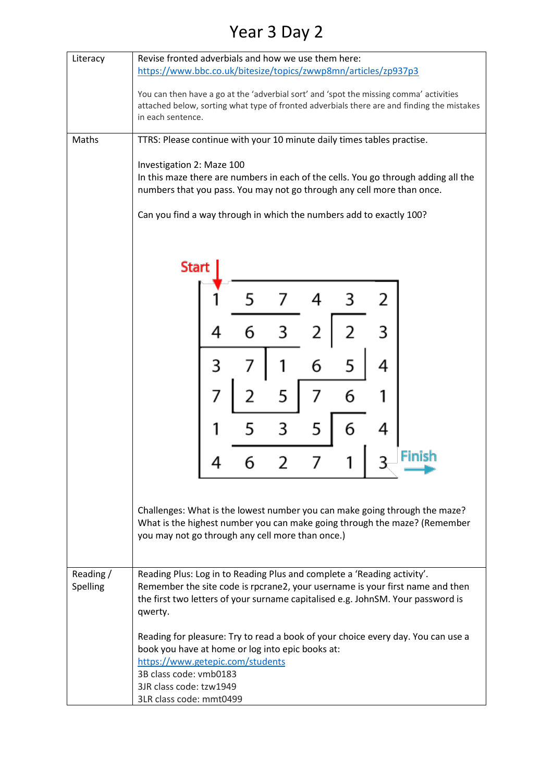### Year 3 Day 2

| Literacy              | Revise fronted adverbials and how we use them here:<br>https://www.bbc.co.uk/bitesize/topics/zwwp8mn/articles/zp937p3                                                                                                                                  |  |   |   |   |   |   |                                                                                                                                                         |
|-----------------------|--------------------------------------------------------------------------------------------------------------------------------------------------------------------------------------------------------------------------------------------------------|--|---|---|---|---|---|---------------------------------------------------------------------------------------------------------------------------------------------------------|
|                       | You can then have a go at the 'adverbial sort' and 'spot the missing comma' activities<br>attached below, sorting what type of fronted adverbials there are and finding the mistakes<br>in each sentence.                                              |  |   |   |   |   |   |                                                                                                                                                         |
| Maths                 | TTRS: Please continue with your 10 minute daily times tables practise.                                                                                                                                                                                 |  |   |   |   |   |   |                                                                                                                                                         |
|                       |                                                                                                                                                                                                                                                        |  |   |   |   |   |   |                                                                                                                                                         |
|                       | Investigation 2: Maze 100<br>In this maze there are numbers in each of the cells. You go through adding all the<br>numbers that you pass. You may not go through any cell more than once.                                                              |  |   |   |   |   |   |                                                                                                                                                         |
|                       | Can you find a way through in which the numbers add to exactly 100?                                                                                                                                                                                    |  |   |   |   |   |   |                                                                                                                                                         |
|                       | Start                                                                                                                                                                                                                                                  |  |   |   |   |   |   |                                                                                                                                                         |
|                       |                                                                                                                                                                                                                                                        |  |   |   |   |   |   |                                                                                                                                                         |
|                       |                                                                                                                                                                                                                                                        |  |   |   |   |   |   |                                                                                                                                                         |
|                       |                                                                                                                                                                                                                                                        |  | 6 |   |   |   |   |                                                                                                                                                         |
|                       |                                                                                                                                                                                                                                                        |  |   |   | 6 | 5 | 4 |                                                                                                                                                         |
|                       |                                                                                                                                                                                                                                                        |  |   | 5 |   | 6 |   |                                                                                                                                                         |
|                       |                                                                                                                                                                                                                                                        |  |   |   | 5 | n |   |                                                                                                                                                         |
|                       |                                                                                                                                                                                                                                                        |  |   |   |   |   |   | Finish                                                                                                                                                  |
|                       |                                                                                                                                                                                                                                                        |  |   |   |   |   |   |                                                                                                                                                         |
|                       | you may not go through any cell more than once.)                                                                                                                                                                                                       |  |   |   |   |   |   | Challenges: What is the lowest number you can make going through the maze?<br>What is the highest number you can make going through the maze? (Remember |
| Reading /<br>Spelling | Reading Plus: Log in to Reading Plus and complete a 'Reading activity'.<br>Remember the site code is rpcrane2, your username is your first name and then<br>the first two letters of your surname capitalised e.g. JohnSM. Your password is<br>qwerty. |  |   |   |   |   |   |                                                                                                                                                         |
|                       | book you have at home or log into epic books at:<br>https://www.getepic.com/students<br>3B class code: vmb0183<br>3JR class code: tzw1949<br>3LR class code: mmt0499                                                                                   |  |   |   |   |   |   | Reading for pleasure: Try to read a book of your choice every day. You can use a                                                                        |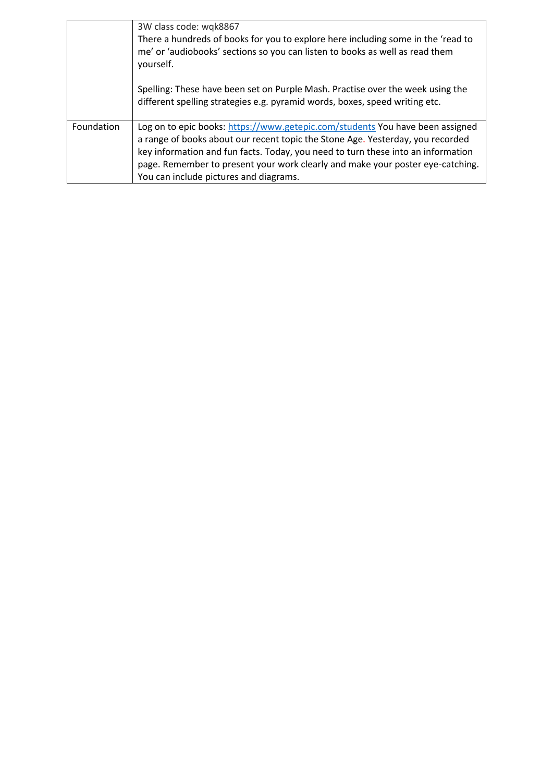|            | 3W class code: wqk8867<br>There a hundreds of books for you to explore here including some in the 'read to<br>me' or 'audiobooks' sections so you can listen to books as well as read them<br>yourself.                                                                                                                                                                         |
|------------|---------------------------------------------------------------------------------------------------------------------------------------------------------------------------------------------------------------------------------------------------------------------------------------------------------------------------------------------------------------------------------|
|            | Spelling: These have been set on Purple Mash. Practise over the week using the<br>different spelling strategies e.g. pyramid words, boxes, speed writing etc.                                                                                                                                                                                                                   |
| Foundation | Log on to epic books: https://www.getepic.com/students You have been assigned<br>a range of books about our recent topic the Stone Age. Yesterday, you recorded<br>key information and fun facts. Today, you need to turn these into an information<br>page. Remember to present your work clearly and make your poster eye-catching.<br>You can include pictures and diagrams. |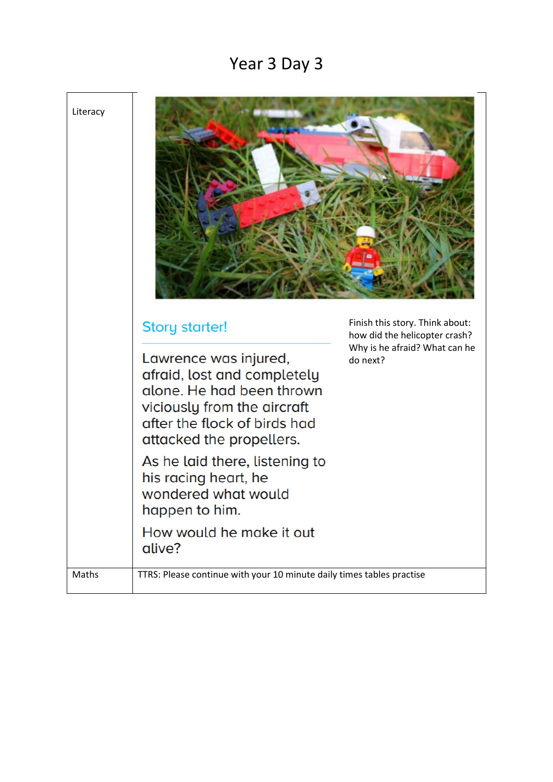### Year 3 Day 3



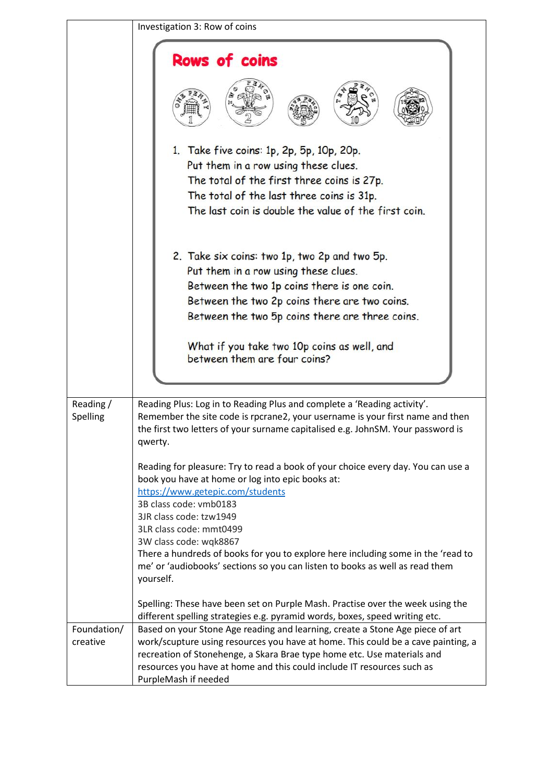|                         | Investigation 3: Row of coins                                                                                                                                                                                                                                                                                                                                                                                                                                       |  |  |
|-------------------------|---------------------------------------------------------------------------------------------------------------------------------------------------------------------------------------------------------------------------------------------------------------------------------------------------------------------------------------------------------------------------------------------------------------------------------------------------------------------|--|--|
|                         | <b>Rows of coins</b><br>1. Take five coins: 1p, 2p, 5p, 10p, 20p.<br>Put them in a row using these clues.<br>The total of the first three coins is 27p.<br>The total of the last three coins is 31p.<br>The last coin is double the value of the first coin.                                                                                                                                                                                                        |  |  |
|                         | 2. Take six coins: two 1p, two 2p and two 5p.<br>Put them in a row using these clues.<br>Between the two 1p coins there is one coin.<br>Between the two 2p coins there are two coins.<br>Between the two 5p coins there are three coins.<br>What if you take two 10p coins as well, and<br>between them are four coins?                                                                                                                                             |  |  |
| Reading /               | Reading Plus: Log in to Reading Plus and complete a 'Reading activity'.                                                                                                                                                                                                                                                                                                                                                                                             |  |  |
| Spelling                | Remember the site code is rpcrane2, your username is your first name and then<br>the first two letters of your surname capitalised e.g. JohnSM. Your password is<br>qwerty.                                                                                                                                                                                                                                                                                         |  |  |
|                         | Reading for pleasure: Try to read a book of your choice every day. You can use a<br>book you have at home or log into epic books at:<br>https://www.getepic.com/students<br>3B class code: vmb0183<br>3JR class code: tzw1949<br>3LR class code: mmt0499<br>3W class code: wqk8867<br>There a hundreds of books for you to explore here including some in the 'read to<br>me' or 'audiobooks' sections so you can listen to books as well as read them<br>yourself. |  |  |
|                         | Spelling: These have been set on Purple Mash. Practise over the week using the<br>different spelling strategies e.g. pyramid words, boxes, speed writing etc.                                                                                                                                                                                                                                                                                                       |  |  |
| Foundation/<br>creative | Based on your Stone Age reading and learning, create a Stone Age piece of art<br>work/scupture using resources you have at home. This could be a cave painting, a<br>recreation of Stonehenge, a Skara Brae type home etc. Use materials and<br>resources you have at home and this could include IT resources such as<br>PurpleMash if needed                                                                                                                      |  |  |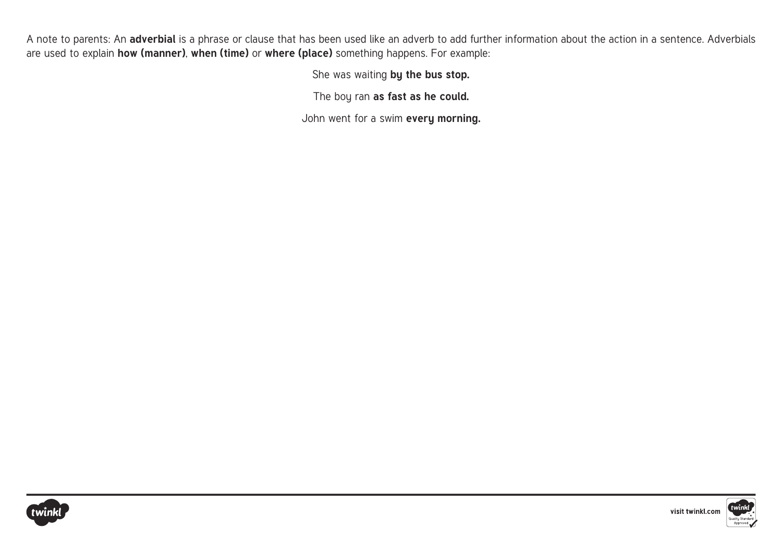A note to parents: An **adverbial** is a phrase or clause that has been used like an adverb to add further information about the action in a sentence. Adverbials are used to explain **how (manner)**, **when (time)** or **where (place)** something happens. For example:

She was waiting **by the bus stop.** 

The boy ran **as fast as he could.** 

John went for a swim **every morning.** 



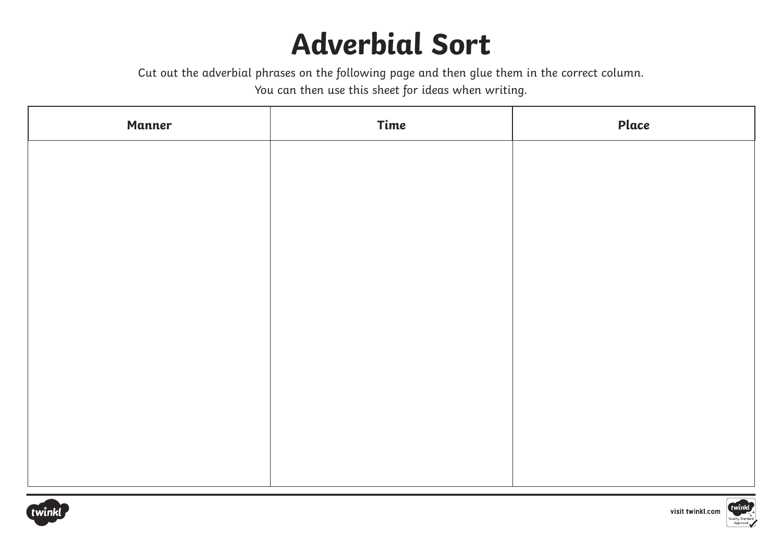### **Adverbial Sort**

Cut out the adverbial phrases on the following page and then glue them in the correct column.

You can then use this sheet for ideas when writing.

| <b>Manner</b> | Time | Place |
|---------------|------|-------|
|               |      |       |
|               |      |       |
|               |      |       |
|               |      |       |
|               |      |       |
|               |      |       |
|               |      |       |
|               |      |       |
|               |      |       |
|               |      |       |
|               |      |       |





visit twinkl.com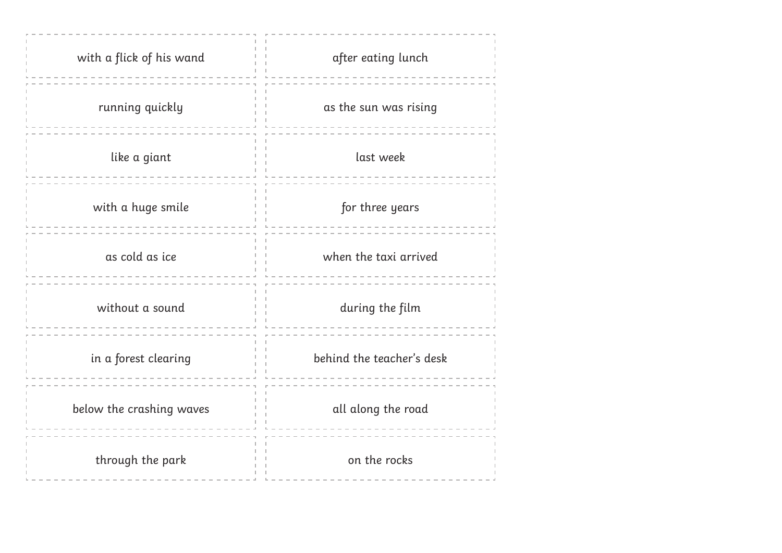| with a flick of his wand | after eating lunch        |
|--------------------------|---------------------------|
| running quickly          | as the sun was rising     |
| like a giant             | last week                 |
| with a huge smile        | for three years           |
| as cold as ice           | when the taxi arrived     |
| without a sound          | during the film           |
| in a forest clearing     | behind the teacher's desk |
| below the crashing waves | all along the road        |
| through the park         | on the rocks              |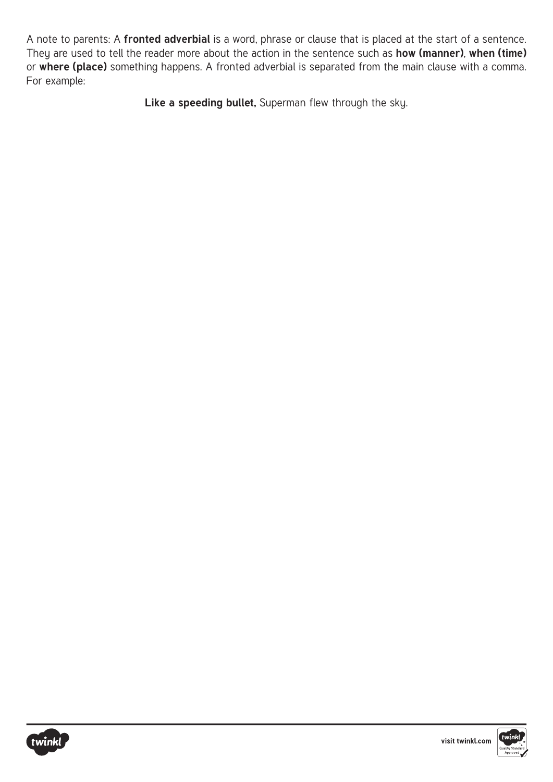A note to parents: A **fronted adverbial** is a word, phrase or clause that is placed at the start of a sentence. They are used to tell the reader more about the action in the sentence such as **how (manner)**, **when (time)** or **where (place)** something happens. A fronted adverbial is separated from the main clause with a comma. For example:

Like a speeding bullet, Superman flew through the sky.



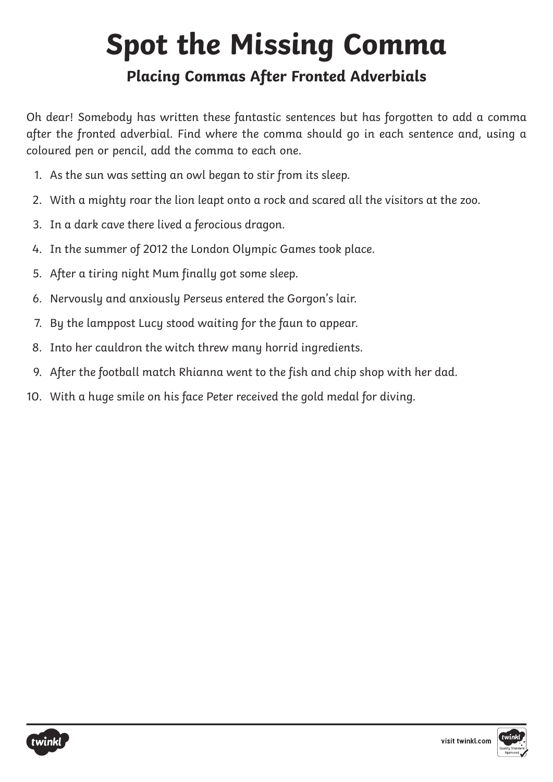# **Spot the Missing Comma**

### **Placing Commas After Fronted Adverbials**

Oh dear! Somebody has written these fantastic sentences but has forgotten to add a comma after the fronted adverbial. Find where the comma should go in each sentence and, using a coloured pen or pencil, add the comma to each one.

- 1. As the sun was setting an owl began to stir from its sleep.
- 2. With a mighty roar the lion leapt onto a rock and scared all the visitors at the zoo.
- 3. In a dark cave there lived a ferocious dragon.
- 4. In the summer of 2012 the London Olympic Games took place.
- 5. After a tiring night Mum finally got some sleep.
- 6. Nervously and anxiously Perseus entered the Gorgon's lair.
- 7. By the lamppost Lucy stood waiting for the faun to appear.
- 8. Into her cauldron the witch threw many horrid ingredients.
- 9. After the football match Rhianna went to the fish and chip shop with her dad.
- 10. With a huge smile on his face Peter received the gold medal for diving.